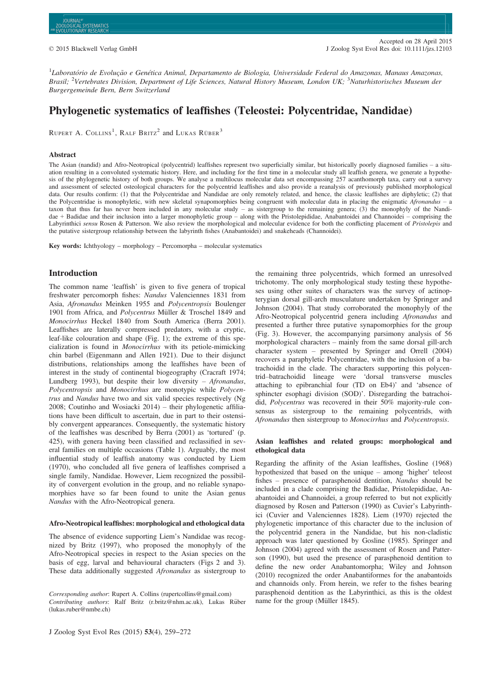${}^{1}$ Laboratório de Evolução e Genética Animal, Departamento de Biologia, Universidade Federal do Amazonas, Manaus Amazonas, Brasil; <sup>2</sup>Vertebrates Division, Department of Life Sciences, Natural History Museum, London UK; <sup>3</sup>Naturhistorisches Museum der Burgergemeinde Bern, Bern Switzerland

# Phylogenetic systematics of leaffishes (Teleostei: Polycentridae, Nandidae)

RUPERT A. COLLINS<sup>1</sup>, RALF BRITZ<sup>2</sup> and LUKAS RÜBER<sup>3</sup>

## Abstract

The Asian (nandid) and Afro-Neotropical (polycentrid) leaffishes represent two superficially similar, but historically poorly diagnosed families – a situation resulting in a convoluted systematic history. Here, and including for the first time in a molecular study all leaffish genera, we generate a hypothesis of the phylogenetic history of both groups. We analyse a multilocus molecular data set encompassing 257 acanthomorph taxa, carry out a survey and assessment of selected osteological characters for the polycentrid leaffishes and also provide a reanalysis of previously published morphological data. Our results confirm: (1) that the Polycentridae and Nandidae are only remotely related, and hence, the classic leaffishes are diphyletic; (2) that the Polycentridae is monophyletic, with new skeletal synapomorphies being congruent with molecular data in placing the enigmatic Afronandus – a taxon that thus far has never been included in any molecular study – as sistergroup to the remaining genera; (3) the monophyly of the Nandidae + Badidae and their inclusion into a larger monophyletic group – along with the Pristolepididae, Anabantoidei and Channoidei – comprising the Labyrinthici sensu Rosen & Patterson. We also review the morphological and molecular evidence for both the conflicting placement of Pristolepis and the putative sistergroup relationship between the labyrinth fishes (Anabantoidei) and snakeheads (Channoidei).

Key words: Ichthyology – morphology – Percomorpha – molecular systematics

## Introduction

The common name 'leaffish' is given to five genera of tropical freshwater percomorph fishes: Nandus Valenciennes 1831 from Asia, Afronandus Meinken 1955 and Polycentropsis Boulenger 1901 from Africa, and Polycentrus Müller & Troschel 1849 and Monocirrhus Heckel 1840 from South America (Berra 2001). Leaffishes are laterally compressed predators, with a cryptic, leaf-like colouration and shape (Fig. 1); the extreme of this specialization is found in Monocirrhus with its petiole-mimicking chin barbel (Eigenmann and Allen 1921). Due to their disjunct distributions, relationships among the leaffishes have been of interest in the study of continental biogeography (Cracraft 1974; Lundberg 1993), but despite their low diversity  $-$  *Afronandus*, Polycentropsis and Monocirrhus are monotypic while Polycentrus and Nandus have two and six valid species respectively (Ng 2008; Coutinho and Wosiacki 2014) – their phylogenetic affiliations have been difficult to ascertain, due in part to their ostensibly convergent appearances. Consequently, the systematic history of the leaffishes was described by Berra (2001) as 'tortured' (p. 425), with genera having been classified and reclassified in several families on multiple occasions (Table 1). Arguably, the most influential study of leaffish anatomy was conducted by Liem (1970), who concluded all five genera of leaffishes comprised a single family, Nandidae. However, Liem recognized the possibility of convergent evolution in the group, and no reliable synapomorphies have so far been found to unite the Asian genus Nandus with the Afro-Neotropical genera.

## Afro-Neotropical leaffishes: morphological and ethological data

The absence of evidence supporting Liem's Nandidae was recognized by Britz (1997), who proposed the monophyly of the Afro-Neotropical species in respect to the Asian species on the basis of egg, larval and behavioural characters (Figs 2 and 3). These data additionally suggested Afronandus as sistergroup to

J Zoolog Syst Evol Res (2015) 53(4), 259-272

the remaining three polycentrids, which formed an unresolved trichotomy. The only morphological study testing these hypotheses using other suites of characters was the survey of actinopterygian dorsal gill-arch musculature undertaken by Springer and Johnson (2004). That study corroborated the monophyly of the Afro-Neotropical polycentrid genera including Afronandus and presented a further three putative synapomorphies for the group (Fig. 3). However, the accompanying parsimony analysis of 56 morphological characters – mainly from the same dorsal gill-arch character system – presented by Springer and Orrell (2004) recovers a paraphyletic Polycentridae, with the inclusion of a batrachoidid in the clade. The characters supporting this polycentrid–batrachoidid lineage were 'dorsal transverse muscles attaching to epibranchial four (TD on Eb4)' and 'absence of sphincter esophagi division (SOD)'. Disregarding the batrachoidid, Polycentrus was recovered in their 50% majority-rule consensus as sistergroup to the remaining polycentrids, with Afronandus then sistergroup to Monocirrhus and Polycentropsis.

## Asian leaffishes and related groups: morphological and ethological data

Regarding the affinity of the Asian leaffishes, Gosline (1968) hypothesized that based on the unique – among 'higher' teleost fishes – presence of parasphenoid dentition, Nandus should be included in a clade comprising the Badidae, Pristolepididae, Anabantoidei and Channoidei, a group referred to but not explicitly diagnosed by Rosen and Patterson (1990) as Cuvier's Labyrinthici (Cuvier and Valenciennes 1828). Liem (1970) rejected the phylogenetic importance of this character due to the inclusion of the polycentrid genera in the Nandidae, but his non-cladistic approach was later questioned by Gosline (1985). Springer and Johnson (2004) agreed with the assessment of Rosen and Patterson (1990), but used the presence of parasphenoid dentition to define the new order Anabantomorpha; Wiley and Johnson (2010) recognized the order Anabantiformes for the anabantoids and channoids only. From herein, we refer to the fishes bearing parasphenoid dentition as the Labyrinthici, as this is the oldest name for the group (Müller 1845).

Corresponding author: Rupert A. Collins (rupertcollins@gmail.com) Contributing authors: Ralf Britz (r.britz@nhm.ac.uk), Lukas Rüber (lukas.ruber@nmbe.ch)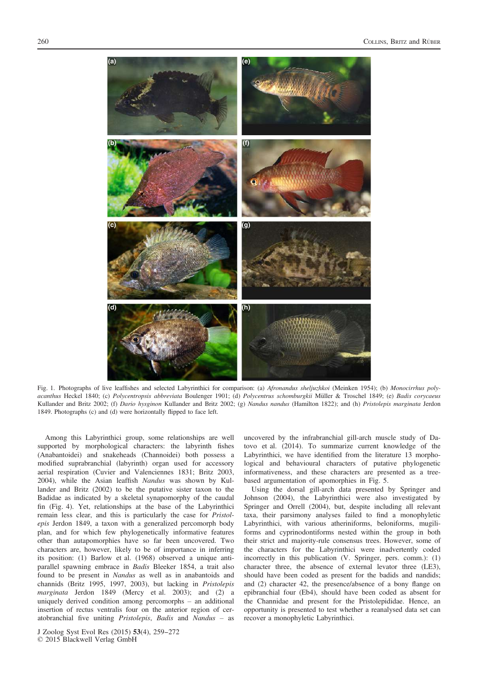

Fig. 1. Photographs of live leaffishes and selected Labyrinthici for comparison: (a) Afronandus sheljuzhkoi (Meinken 1954); (b) Monocirrhus polyacanthus Heckel 1840; (c) Polycentropsis abbreviata Boulenger 1901; (d) Polycentrus schomburgkii Müller & Troschel 1849; (e) Badis corycaeus Kullander and Britz 2002; (f) Dario hysginon Kullander and Britz 2002; (g) Nandus nandus (Hamilton 1822); and (h) Pristolepis marginata Jerdon 1849. Photographs (c) and (d) were horizontally flipped to face left.

Among this Labyrinthici group, some relationships are well supported by morphological characters: the labyrinth fishes (Anabantoidei) and snakeheads (Channoidei) both possess a modified suprabranchial (labyrinth) organ used for accessory aerial respiration (Cuvier and Valenciennes 1831; Britz 2003, 2004), while the Asian leaffish Nandus was shown by Kullander and Britz (2002) to be the putative sister taxon to the Badidae as indicated by a skeletal synapomorphy of the caudal fin (Fig. 4). Yet, relationships at the base of the Labyrinthici remain less clear, and this is particularly the case for Pristolepis Jerdon 1849, a taxon with a generalized percomorph body plan, and for which few phylogenetically informative features other than autapomorphies have so far been uncovered. Two characters are, however, likely to be of importance in inferring its position: (1) Barlow et al. (1968) observed a unique antiparallel spawning embrace in Badis Bleeker 1854, a trait also found to be present in Nandus as well as in anabantoids and channids (Britz 1995, 1997, 2003), but lacking in Pristolepis marginata Jerdon 1849 (Mercy et al. 2003); and (2) a uniquely derived condition among percomorphs – an additional insertion of rectus ventralis four on the anterior region of ceratobranchial five uniting Pristolepis, Badis and Nandus – as

uncovered by the infrabranchial gill-arch muscle study of Datovo et al. (2014). To summarize current knowledge of the Labyrinthici, we have identified from the literature 13 morphological and behavioural characters of putative phylogenetic informativeness, and these characters are presented as a treebased argumentation of apomorphies in Fig. 5.

Using the dorsal gill-arch data presented by Springer and Johnson (2004), the Labyrinthici were also investigated by Springer and Orrell (2004), but, despite including all relevant taxa, their parsimony analyses failed to find a monophyletic Labyrinthici, with various atheriniforms, beloniforms, mugiliforms and cyprinodontiforms nested within the group in both their strict and majority-rule consensus trees. However, some of the characters for the Labyrinthici were inadvertently coded incorrectly in this publication (V. Springer, pers. comm.): (1) character three, the absence of external levator three (LE3), should have been coded as present for the badids and nandids; and (2) character 42, the presence/absence of a bony flange on epibranchial four (Eb4), should have been coded as absent for the Channidae and present for the Pristolepididae. Hence, an opportunity is presented to test whether a reanalysed data set can recover a monophyletic Labyrinthici.

J Zoolog Syst Evol Res (2015) 53(4), 259-272 © 2015 Blackwell Verlag GmbH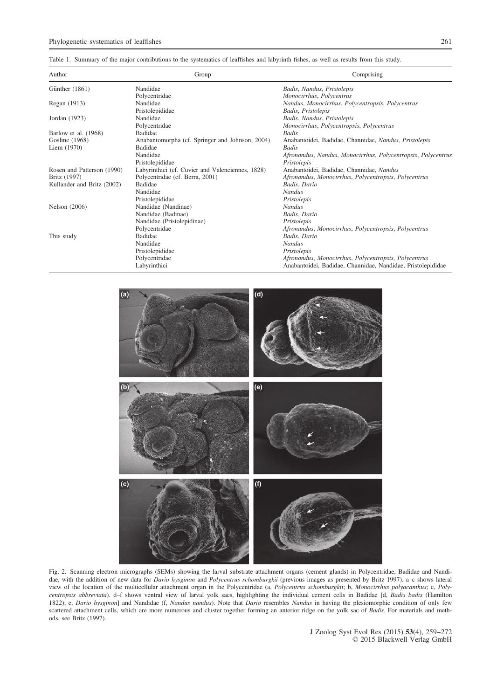Table 1. Summary of the major contributions to the systematics of leaffishes and labyrinth fishes, as well as results from this study.

| Author                     | Group                                            | Comprising                                                   |
|----------------------------|--------------------------------------------------|--------------------------------------------------------------|
| Günther (1861)             | Nandidae                                         | Badis, Nandus, Pristolepis                                   |
|                            | Polycentridae                                    | Monocirrhus, Polycentrus                                     |
| Regan (1913)               | Nandidae                                         | Nandus, Monocirrhus, Polycentropsis, Polycentrus             |
|                            | Pristolepididae                                  | Badis, Pristolepis                                           |
| Jordan (1923)              | Nandidae                                         | Badis, Nandus, Pristolepis                                   |
|                            | Polycentridae                                    | Monocirrhus, Polycentropsis, Polycentrus                     |
| Barlow et al. (1968)       | Badidae                                          | Badis                                                        |
| Gosline (1968)             | Anabantomorpha (cf. Springer and Johnson, 2004)  | Anabantoidei, Badidae, Channidae, Nandus, Pristolepis        |
| Liem (1970)                | <b>Badidae</b>                                   | Badis                                                        |
|                            | Nandidae                                         | Afronandus, Nandus, Monocirrhus, Polycentropsis, Polycentrus |
|                            | Pristolepididae                                  | Pristolepis                                                  |
| Rosen and Patterson (1990) | Labyrinthici (cf. Cuvier and Valenciennes, 1828) | Anabantoidei, Badidae, Channidae, Nandus                     |
| Britz (1997)               | Polycentridae (cf. Berra, 2001)                  | Afronandus, Monocirrhus, Polycentropsis, Polycentrus         |
| Kullander and Britz (2002) | Badidae                                          | Badis, Dario                                                 |
|                            | Nandidae                                         | <b>Nandus</b>                                                |
|                            | Pristolepididae                                  | Pristolepis                                                  |
| <b>Nelson</b> (2006)       | Nandidae (Nandinae)                              | <b>Nandus</b>                                                |
|                            | Nandidae (Badinae)                               | Badis, Dario                                                 |
|                            | Nandidae (Pristolepidinae)                       | Pristolepis                                                  |
|                            | Polycentridae                                    | Afronandus, Monocirrhus, Polycentropsis, Polycentrus         |
| This study                 | Badidae                                          | Badis, Dario                                                 |
|                            | Nandidae                                         | <b>Nandus</b>                                                |
|                            | Pristolepididae                                  | Pristolepis                                                  |
|                            | Polycentridae                                    | Afronandus, Monocirrhus, Polycentropsis, Polycentrus         |
|                            | Labyrinthici                                     | Anabantoidei, Badidae, Channidae, Nandidae, Pristolepididae  |



Fig. 2. Scanning electron micrographs (SEMs) showing the larval substrate attachment organs (cement glands) in Polycentridae, Badidae and Nandidae, with the addition of new data for Dario hysginon and Polycentrus schomburgkii (previous images as presented by Britz 1997). a-c shows lateral view of the location of the multicellular attachment organ in the Polycentridae (a, Polycentrus schomburgkii; b, Monocirrhus polyacanthus; c, Polycentropsis abbreviata). d–f shows ventral view of larval yolk sacs, highlighting the individual cement cells in Badidae [d, Badis badis (Hamilton 1822); e, Dario hysginon] and Nandidae (f, Nandus nandus). Note that Dario resembles Nandus in having the plesiomorphic condition of only few scattered attachment cells, which are more numerous and cluster together forming an anterior ridge on the yolk sac of Badis. For materials and methods, see Britz (1997).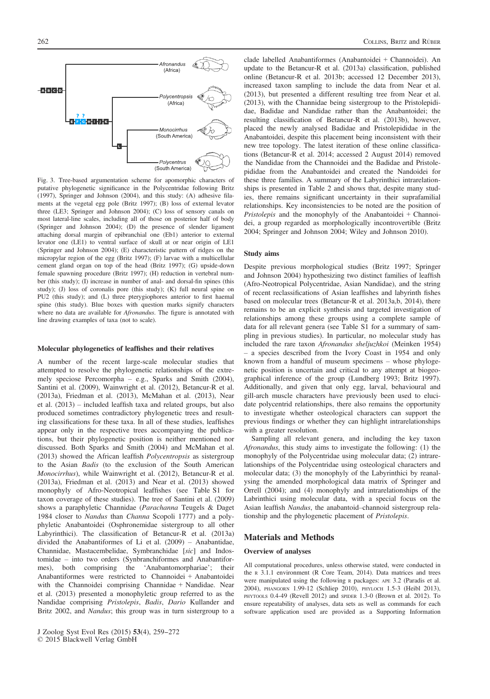putative phylogenetic significance in the Polycentridae following Britz (1997), Springer and Johnson (2004), and this study: (A) adhesive filaments at the vegetal egg pole (Britz 1997); (B) loss of external levator three (LE3; Springer and Johnson 2004); (C) loss of sensory canals on most lateral-line scales, including all of those on posterior half of body (Springer and Johnson 2004); (D) the presence of slender ligament attaching dorsal margin of epibranchial one (Eb1) anterior to external levator one (LE1) to ventral surface of skull at or near origin of LE1 (Springer and Johnson 2004); (E) characteristic pattern of ridges on the micropylar region of the egg (Britz 1997); (F) larvae with a multicellular cement gland organ on top of the head (Britz 1997); (G) upside-down female spawning procedure (Britz 1997); (H) reduction in vertebral number (this study); (I) increase in number of anal- and dorsal-fin spines (this study); (J) loss of coronalis pore (this study); (K) full neural spine on PU2 (this study); and (L) three pterygiophores anterior to first haemal spine (this study). Blue boxes with question marks signify characters where no data are available for *Afronandus*. The figure is annotated with line drawing examples of taxa (not to scale).

#### Molecular phylogenetics of leaffishes and their relatives

A number of the recent large-scale molecular studies that attempted to resolve the phylogenetic relationships of the extremely speciose Percomorpha – e.g., Sparks and Smith (2004), Santini et al. (2009), Wainwright et al. (2012), Betancur-R et al. (2013a), Friedman et al. (2013), McMahan et al. (2013), Near et al. (2013) – included leaffish taxa and related groups, but also produced sometimes contradictory phylogenetic trees and resulting classifications for these taxa. In all of these studies, leaffishes appear only in the respective trees accompanying the publications, but their phylogenetic position is neither mentioned nor discussed. Both Sparks and Smith (2004) and McMahan et al. (2013) showed the African leaffish Polycentropsis as sistergroup to the Asian Badis (to the exclusion of the South American Monocirrhus), while Wainwright et al. (2012), Betancur-R et al. (2013a), Friedman et al. (2013) and Near et al. (2013) showed monophyly of Afro-Neotropical leaffishes (see Table S1 for taxon coverage of these studies). The tree of Santini et al. (2009) shows a paraphyletic Channidae (Parachanna Teugels & Daget 1984 closer to Nandus than Channa Scopoli 1777) and a polyphyletic Anabantoidei (Osphronemidae sistergroup to all other Labyrinthici). The classification of Betancur-R et al. (2013a) divided the Anabantiformes of Li et al. (2009) – Anabantidae, Channidae, Mastacembelidae, Symbranchidae [sic] and Indostomidae – into two orders (Synbranchiformes and Anabantiformes), both comprising the 'Anabantomorphariae'; their Anabantiformes were restricted to Channoidei + Anabantoidei with the Channoidei comprising Channidae + Nandidae. Near et al. (2013) presented a monophyletic group referred to as the Nandidae comprising Pristolepis, Badis, Dario Kullander and Britz 2002, and Nandus; this group was in turn sistergroup to a

© 2015 Blackwell Verlag GmbH

Polycentrus (South America) Fig. 3. Tree-based argumentation scheme for apomorphic characters of

## clade labelled Anabantiformes (Anabantoidei + Channoidei). An update to the Betancur-R et al. (2013a) classification, published online (Betancur-R et al. 2013b; accessed 12 December 2013), increased taxon sampling to include the data from Near et al. (2013), but presented a different resulting tree from Near et al. (2013), with the Channidae being sistergroup to the Pristolepididae, Badidae and Nandidae rather than the Anabantoidei; the resulting classification of Betancur-R et al. (2013b), however, placed the newly analysed Badidae and Pristolepididae in the Anabantoidei, despite this placement being inconsistent with their new tree topology. The latest iteration of these online classifications (Betancur-R et al. 2014; accessed 2 August 2014) removed the Nandidae from the Channoidei and the Badidae and Pristolepididae from the Anabantoidei and created the Nandoidei for these three families. A summary of the Labyrinthici intrarelationships is presented in Table 2 and shows that, despite many studies, there remains significant uncertainty in their suprafamilial relationships. Key inconsistencies to be noted are the position of Pristolepis and the monophyly of the Anabantoidei + Channoidei, a group regarded as morphologically incontrovertible (Britz 2004; Springer and Johnson 2004; Wiley and Johnson 2010).

#### Study aims

Despite previous morphological studies (Britz 1997; Springer and Johnson 2004) hypothesizing two distinct families of leaffish (Afro-Neotropical Polycentridae, Asian Nandidae), and the string of recent reclassifications of Asian leaffishes and labyrinth fishes based on molecular trees (Betancur-R et al. 2013a,b, 2014), there remains to be an explicit synthesis and targeted investigation of relationships among these groups using a complete sample of data for all relevant genera (see Table S1 for a summary of sampling in previous studies). In particular, no molecular study has included the rare taxon Afronandus sheljuzhkoi (Meinken 1954) – a species described from the Ivory Coast in 1954 and only known from a handful of museum specimens – whose phylogenetic position is uncertain and critical to any attempt at biogeographical inference of the group (Lundberg 1993; Britz 1997). Additionally, and given that only egg, larval, behavioural and gill-arch muscle characters have previously been used to elucidate polycentrid relationships, there also remains the opportunity to investigate whether osteological characters can support the previous findings or whether they can highlight intrarelationships with a greater resolution.

Sampling all relevant genera, and including the key taxon Afronandus, this study aims to investigate the following: (1) the monophyly of the Polycentridae using molecular data; (2) intrarelationships of the Polycentridae using osteological characters and molecular data; (3) the monophyly of the Labyrinthici by reanalysing the amended morphological data matrix of Springer and Orrell (2004); and (4) monophyly and intrarelationships of the Labrinthici using molecular data, with a special focus on the Asian leaffish Nandus, the anabantoid–channoid sistergroup relationship and the phylogenetic placement of Pristolepis.

## Materials and Methods

## Overview of analyses

All computational procedures, unless otherwise stated, were conducted in the <sup>R</sup> 3.1.1 environment (R Core Team, 2014). Data matrices and trees were manipulated using the following <sup>R</sup> packages: APE 3.2 (Paradis et al. 2004), PHANGORN 1.99-12 (Schliep 2010), PHYLOCH 1.5-3 (Heibl 2013), PHYTOOLS 0.4-49 (Revell 2012) and SPIDER 1.3-0 (Brown et al. 2012). To ensure repeatability of analyses, data sets as well as commands for each software application used are provided as a Supporting Information



J Zoolog Syst Evol Res (2015) 53(4), 259--272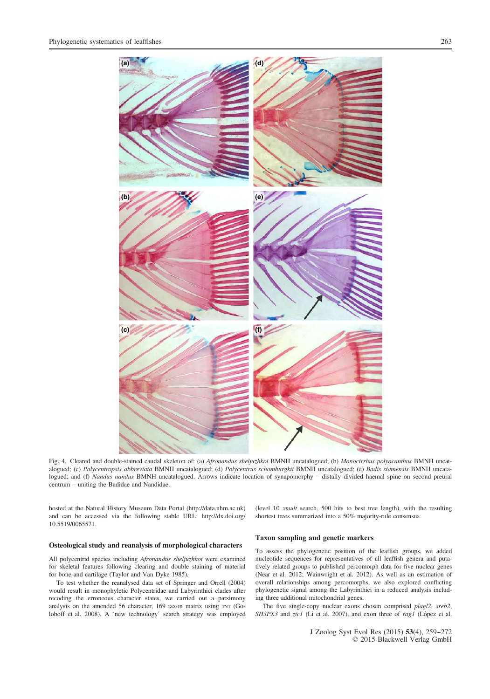

Fig. 4. Cleared and double-stained caudal skeleton of: (a) Afronandus sheljuzhkoi BMNH uncatalogued; (b) Monocirrhus polyacanthus BMNH uncatalogued; (c) Polycentropsis abbreviata BMNH uncatalogued; (d) Polycentrus schomburgkii BMNH uncatalogued; (e) Badis siamensis BMNH uncatalogued; and (f) Nandus nandus BMNH uncatalogued. Arrows indicate location of synapomorphy - distally divided haemal spine on second preural centrum – uniting the Badidae and Nandidae.

hosted at the Natural History Museum Data Portal [\(http://data.nhm.ac.uk](http://data.nhm.ac.uk)) and can be accessed via the following stable URL: [http://dx.doi.org/](http://dx.doi.org/10.5519/0065571) [10.5519/0065571](http://dx.doi.org/10.5519/0065571).

(level 10 xmult search, 500 hits to best tree length), with the resulting shortest trees summarized into a 50% majority-rule consensus.

## Osteological study and reanalysis of morphological characters

All polycentrid species including Afronandus sheljuzhkoi were examined for skeletal features following clearing and double staining of material for bone and cartilage (Taylor and Van Dyke 1985).

To test whether the reanalysed data set of Springer and Orrell (2004) would result in monophyletic Polycentridae and Labyrinthici clades after recoding the erroneous character states, we carried out a parsimony analysis on the amended 56 character, 169 taxon matrix using TNT (Goloboff et al. 2008). A 'new technology' search strategy was employed

## Taxon sampling and genetic markers

To assess the phylogenetic position of the leaffish groups, we added nucleotide sequences for representatives of all leaffish genera and putatively related groups to published percomorph data for five nuclear genes (Near et al. 2012; Wainwright et al. 2012). As well as an estimation of overall relationships among percomorphs, we also explored conflicting phylogenetic signal among the Labyrinthici in a reduced analysis including three additional mitochondrial genes.

The five single-copy nuclear exons chosen comprised plagl2, sreb2, SH3PX3 and zic1 (Li et al. 2007), and exon three of rag1 (López et al.

> J Zoolog Syst Evol Res (2015) 53(4), 259--272 © 2015 Blackwell Verlag GmbH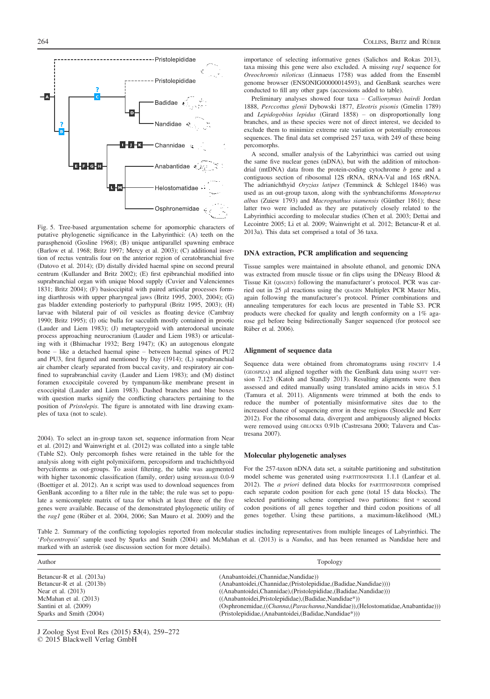

Fig. 5. Tree-based argumentation scheme for apomorphic characters of putative phylogenetic significance in the Labyrinthici: (A) teeth on the parasphenoid (Gosline 1968); (B) unique antiparallel spawning embrace (Barlow et al. 1968; Britz 1997; Mercy et al. 2003); (C) additional insertion of rectus ventralis four on the anterior region of ceratobranchial five (Datovo et al. 2014); (D) distally divided haemal spine on second preural centrum (Kullander and Britz 2002); (E) first epibranchial modified into suprabranchial organ with unique blood supply (Cuvier and Valenciennes 1831; Britz 2004); (F) basioccipital with paired articular processes forming diarthrosis with upper pharyngeal jaws (Britz 1995, 2003, 2004); (G) gas bladder extending posteriorly to parhypural (Britz 1995, 2003); (H) larvae with bilateral pair of oil vesicles as floating device (Cambray 1990; Britz 1995); (I) otic bulla for sacculith mostly contained in prootic (Lauder and Liem 1983); (J) metapterygoid with anterodorsal uncinate process approaching neurocranium (Lauder and Liem 1983) or articulating with it (Bhimachar 1932; Berg 1947); (K) an autogenous elongate bone – like a detached haemal spine – between haemal spines of PU2 and PU3, first figured and mentioned by Day (1914); (L) suprabranchial air chamber clearly separated from buccal cavity, and respiratory air confined to suprabranchial cavity (Lauder and Liem 1983); and (M) distinct foramen exoccipitale covered by tympanum-like membrane present in exoccipital (Lauder and Liem 1983). Dashed branches and blue boxes with question marks signify the conflicting characters pertaining to the position of Pristolepis. The figure is annotated with line drawing examples of taxa (not to scale).

2004). To select an in-group taxon set, sequence information from Near et al. (2012) and Wainwright et al. (2012) was collated into a single table (Table S2). Only percomorph fishes were retained in the table for the analysis along with eight polymixiiform, percopsiform and trachichthyoid beryciforms as out-groups. To assist filtering, the table was augmented with higher taxonomic classification (family, order) using RFISHBASE 0.0-9 (Boettiger et al. 2012). An <sup>R</sup> script was used to download sequences from GenBank according to a filter rule in the table; the rule was set to populate a semicomplete matrix of taxa for which at least three of the five genes were available. Because of the demonstrated phylogenetic utility of the rag1 gene (Rüber et al. 2004, 2006; San Mauro et al. 2009) and the importance of selecting informative genes (Salichos and Rokas 2013), taxa missing this gene were also excluded. A missing rag1 sequence for Oreochromis niloticus (Linnaeus 1758) was added from the Ensembl genome browser (ENSONIG00000014593), and GenBank searches were conducted to fill any other gaps (accessions added to table).

Preliminary analyses showed four taxa – Callionymus bairdi Jordan 1888, Perccottus glenii Dybowski 1877, Eleotris pisonis (Gmelin 1789) and Lepidogobius lepidus (Girard 1858) – on disproportionally long branches, and as these species were not of direct interest, we decided to exclude them to minimize extreme rate variation or potentially erroneous sequences. The final data set comprised 257 taxa, with 249 of these being percomorphs.

A second, smaller analysis of the Labyrinthici was carried out using the same five nuclear genes (nDNA), but with the addition of mitochondrial (mtDNA) data from the protein-coding cytochrome b gene and a contiguous section of ribosomal 12S rRNA, tRNA-Val and 16S rRNA. The adrianichthyid Oryzias latipes (Temminck & Schlegel 1846) was used as an out-group taxon, along with the synbranchiforms Monopterus albus (Zuiew 1793) and Macrognathus siamensis (Günther 1861); these latter two were included as they are putatively closely related to the Labyrinthici according to molecular studies (Chen et al. 2003; Dettai and Lecointre 2005; Li et al. 2009; Wainwright et al. 2012; Betancur-R et al. 2013a). This data set comprised a total of 36 taxa.

#### DNA extraction, PCR amplification and sequencing

Tissue samples were maintained in absolute ethanol, and genomic DNA was extracted from muscle tissue or fin clips using the DNeasy Blood & Tissue Kit (QIAGEN) following the manufacturer's protocol. PCR was carried out in 25  $\mu$ l reactions using the QIAGEN Multiplex PCR Master Mix, again following the manufacturer's protocol. Primer combinations and annealing temperatures for each locus are presented in Table S3. PCR products were checked for quality and length conformity on a 1% agarose gel before being bidirectionally Sanger sequenced (for protocol see Rüber et al. 2006).

#### Alignment of sequence data

Sequence data were obtained from chromatograms using FINCHTV 1.4 (GEOSPIZA) and aligned together with the GenBank data using MAFFT version 7.123 (Katoh and Standly 2013). Resulting alignments were then assessed and edited manually using translated amino acids in MEGA 5.1 (Tamura et al. 2011). Alignments were trimmed at both the ends to reduce the number of potentially misinformative sites due to the increased chance of sequencing error in these regions (Stoeckle and Kerr 2012). For the ribosomal data, divergent and ambiguously aligned blocks were removed using GBLOCKS 0.91b (Castresana 2000; Talavera and Castresana 2007).

#### Molecular phylogenetic analyses

For the 257-taxon nDNA data set, a suitable partitioning and substitution model scheme was generated using PARTITIONFINDER 1.1.1 (Lanfear et al. 2012). The  $a$  priori defined data blocks for PARTITIONFINDER comprised each separate codon position for each gene (total 15 data blocks). The selected partitioning scheme comprised two partitions: first + second codon positions of all genes together and third codon positions of all genes together. Using these partitions, a maximum-likelihood (ML)

Table 2. Summary of the conflicting topologies reported from molecular studies including representatives from multiple lineages of Labyrinthici. The 'Polycentropsis' sample used by Sparks and Smith (2004) and McMahan et al. (2013) is a Nandus, and has been renamed as Nandidae here and marked with an asterisk (see discussion section for more details).

| Author                    | Topology                                                                            |
|---------------------------|-------------------------------------------------------------------------------------|
| Betancur-R et al. (2013a) | (Anabantoidei, (Channidae, Nandidae))                                               |
| Betancur-R et al. (2013b) | (Anabantoidei, (Channidae, (Pristolepididae, (Badidae, Nandidae))))                 |
| Near et al. (2013)        | ((Anabantoidei,Channidae), (Pristolepididae, (Badidae, Nandidae)))                  |
| McMahan et al. (2013)     | ((Anabantoidei, Pristolepididae), (Badidae, Nandidae*))                             |
| Santini et al. (2009)     | ((Osphronemidae, ((Channa, (Parachanna, Nandidae)), (Helostomatidae, Anabantidae))) |
| Sparks and Smith (2004)   | (Pristolepididae, (Anabantoidei, (Badidae, Nandidae*)))                             |

J Zoolog Syst Evol Res (2015) 53(4), 259-272 © 2015 Blackwell Verlag GmbH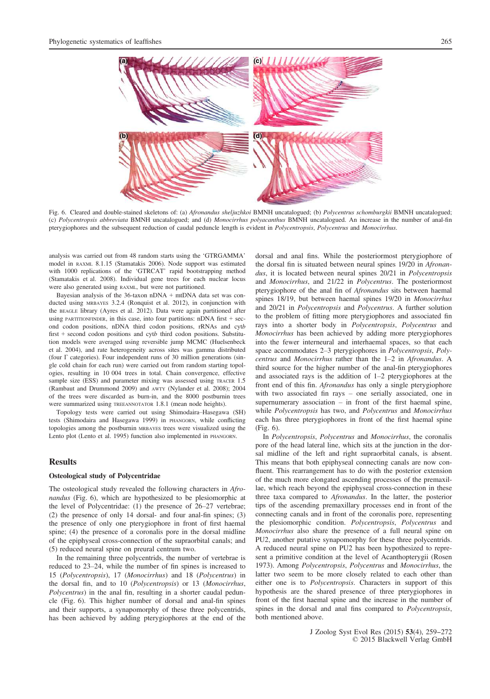

Fig. 6. Cleared and double-stained skeletons of: (a) Afronandus sheljuzhkoi BMNH uncatalogued; (b) Polycentrus schomburgkii BMNH uncatalogued; (c) Polycentropsis abbreviata BMNH uncatalogued; and (d) Monocirrhus polyacanthus BMNH uncatalogued. An increase in the number of anal-fin pterygiophores and the subsequent reduction of caudal peduncle length is evident in Polycentropsis, Polycentrus and Monocirrhus.

analysis was carried out from 48 random starts using the 'GTRGAMMA' model in RAXML 8.1.15 (Stamatakis 2006). Node support was estimated with 1000 replications of the 'GTRCAT' rapid bootstrapping method (Stamatakis et al. 2008). Individual gene trees for each nuclear locus were also generated using RAXML, but were not partitioned.

Bayesian analysis of the 36-taxon nDNA + mtDNA data set was conducted using MRBAYES 3.2.4 (Ronquist et al. 2012), in conjunction with the BEAGLE library (Ayres et al. 2012). Data were again partitioned after using PARTITIONFINDER, in this case, into four partitions:  $nDNA$  first + second codon positions, nDNA third codon positions, rRNAs and cytb first + second codon positions and cytb third codon positions. Substitution models were averaged using reversible jump MCMC (Huelsenbeck et al. 2004), and rate heterogeneity across sites was gamma distributed (four Γ categories). Four independent runs of 30 million generations (single cold chain for each run) were carried out from random starting topologies, resulting in 10 004 trees in total. Chain convergence, effective sample size (ESS) and parameter mixing was assessed using TRACER 1.5 (Rambaut and Drummond 2009) and AWTY (Nylander et al. 2008); 2004 of the trees were discarded as burn-in, and the 8000 postburnin trees were summarized using TREEANNOTATOR 1.8.1 (mean node heights).

Topology tests were carried out using Shimodaira–Hasegawa (SH) tests (Shimodaira and Hasegawa 1999) in PHANGORN, while conflicting topologies among the postburnin MRBAYES trees were visualized using the Lento plot (Lento et al. 1995) function also implemented in PHANGORN.

# **Results**

## Osteological study of Polycentridae

The osteological study revealed the following characters in Afronandus (Fig. 6), which are hypothesized to be plesiomorphic at the level of Polycentridae: (1) the presence of 26–27 vertebrae; (2) the presence of only 14 dorsal- and four anal-fin spines; (3) the presence of only one pterygiophore in front of first haemal spine; (4) the presence of a coronalis pore in the dorsal midline of the epiphyseal cross-connection of the supraorbital canals; and (5) reduced neural spine on preural centrum two.

In the remaining three polycentrids, the number of vertebrae is reduced to 23–24, while the number of fin spines is increased to 15 (Polycentropsis), 17 (Monocirrhus) and 18 (Polycentrus) in the dorsal fin, and to 10 (Polycentropsis) or 13 (Monocirrhus, Polycentrus) in the anal fin, resulting in a shorter caudal peduncle (Fig. 6). This higher number of dorsal and anal-fin spines and their supports, a synapomorphy of these three polycentrids, has been achieved by adding pterygiophores at the end of the dorsal and anal fins. While the posteriormost pterygiophore of the dorsal fin is situated between neural spines 19/20 in Afronandus, it is located between neural spines 20/21 in *Polycentropsis* and Monocirrhus, and 21/22 in Polycentrus. The posteriormost pterygiophore of the anal fin of Afronandus sits between haemal spines 18/19, but between haemal spines 19/20 in Monocirrhus and 20/21 in Polycentropsis and Polycentrus. A further solution to the problem of fitting more pterygiophores and associated fin rays into a shorter body in Polycentropsis, Polycentrus and Monocirrhus has been achieved by adding more pterygiophores into the fewer interneural and interhaemal spaces, so that each space accommodates 2–3 pterygiophores in *Polycentropsis*, *Poly*centrus and Monocirrhus rather than the 1–2 in Afronandus. A third source for the higher number of the anal-fin pterygiophores and associated rays is the addition of 1–2 pterygiophores at the front end of this fin. Afronandus has only a single pterygiophore with two associated fin rays – one serially associated, one in supernumerary association – in front of the first haemal spine, while Polycentropsis has two, and Polycentrus and Monocirrhus each has three pterygiophores in front of the first haemal spine (Fig. 6).

In Polycentropsis, Polycentrus and Monocirrhus, the coronalis pore of the head lateral line, which sits at the junction in the dorsal midline of the left and right supraorbital canals, is absent. This means that both epiphyseal connecting canals are now confluent. This rearrangement has to do with the posterior extension of the much more elongated ascending processes of the premaxillae, which reach beyond the epiphyseal cross-connection in these three taxa compared to Afronandus. In the latter, the posterior tips of the ascending premaxillary processes end in front of the connecting canals and in front of the coronalis pore, representing the plesiomorphic condition. Polycentropsis, Polycentrus and Monocirrhus also share the presence of a full neural spine on PU2, another putative synapomorphy for these three polycentrids. A reduced neural spine on PU2 has been hypothesized to represent a primitive condition at the level of Acanthopterygii (Rosen 1973). Among Polycentropsis, Polycentrus and Monocirrhus, the latter two seem to be more closely related to each other than either one is to Polycentropsis. Characters in support of this hypothesis are the shared presence of three pterygiophores in front of the first haemal spine and the increase in the number of spines in the dorsal and anal fins compared to Polycentropsis, both mentioned above.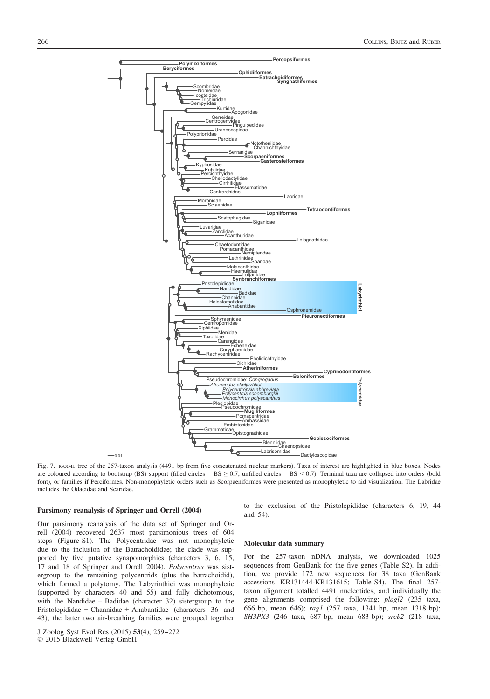

Fig. 7. RAXML tree of the 257-taxon analysis (4491 bp from five concatenated nuclear markers). Taxa of interest are highlighted in blue boxes. Nodes are coloured according to bootstrap (BS) support (filled circles = BS  $\geq$  0.7; unfilled circles = BS  $\leq$  0.7). Terminal taxa are collapsed into orders (bold font), or families if Perciformes. Non-monophyletic orders such as Scorpaeniformes were presented as monophyletic to aid visualization. The Labridae includes the Odacidae and Scaridae.

#### Parsimony reanalysis of Springer and Orrell (2004)

Our parsimony reanalysis of the data set of Springer and Orrell (2004) recovered 2637 most parsimonious trees of 604 steps (Figure S1). The Polycentridae was not monophyletic due to the inclusion of the Batrachoididae; the clade was supported by five putative synapomorphies (characters 3, 6, 15, 17 and 18 of Springer and Orrell 2004). Polycentrus was sistergroup to the remaining polycentrids (plus the batrachoidid), which formed a polytomy. The Labyrinthici was monophyletic (supported by characters 40 and 55) and fully dichotomous, with the Nandidae + Badidae (character 32) sistergroup to the Pristolepididae + Channidae + Anabantidae (characters 36 and 43); the latter two air-breathing families were grouped together to the exclusion of the Pristolepididae (characters 6, 19, 44 and 54).

#### Molecular data summary

For the 257-taxon nDNA analysis, we downloaded 1025 sequences from GenBank for the five genes (Table S2). In addition, we provide 172 new sequences for 38 taxa (GenBank accessions [KR131444](http://www.ncbi.nlm.nih.gov/nuccore/KR131444)[-KR131615](http://www.ncbi.nlm.nih.gov/nuccore/KR131615); Table S4). The final 257 taxon alignment totalled 4491 nucleotides, and individually the gene alignments comprised the following: plagl2 (235 taxa, 666 bp, mean 646); rag1 (257 taxa, 1341 bp, mean 1318 bp); SH3PX3 (246 taxa, 687 bp, mean 683 bp); sreb2 (218 taxa,

J Zoolog Syst Evol Res (2015) 53(4), 259-272 © 2015 Blackwell Verlag GmbH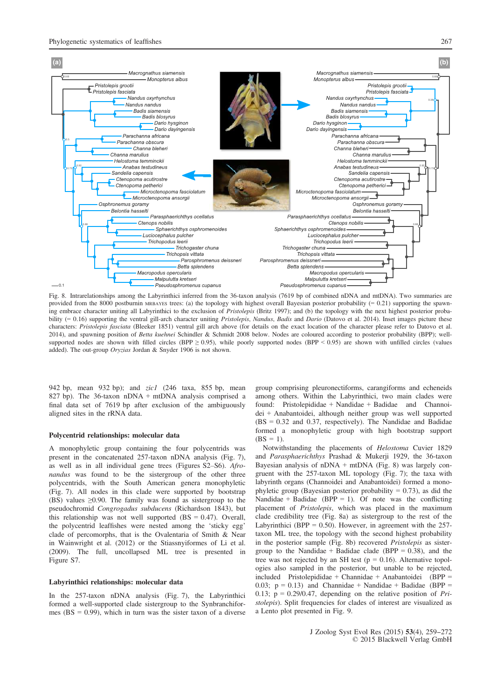

Fig. 8. Intrarelationships among the Labyrinthici inferred from the 36-taxon analysis (7619 bp of combined nDNA and mtDNA). Two summaries are provided from the 8000 postburnin MRBAYES trees: (a) the topology with highest overall Bayesian posterior probability (= 0.21) supporting the spawning embrace character uniting all Labyrinthici to the exclusion of Pristolepis (Britz 1997); and (b) the topology with the next highest posterior probability (= 0.16) supporting the ventral gill-arch character uniting Pristolepis, Nandus, Badis and Dario (Datovo et al. 2014). Inset images picture these characters: Pristolepis fasciata (Bleeker 1851) ventral gill arch above (for details on the exact location of the character please refer to Datovo et al. 2014), and spawning position of Betta kuehnei Schindler & Schmidt 2008 below. Nodes are coloured according to posterior probability (BPP); wellsupported nodes are shown with filled circles (BPP  $\geq$  0.95), while poorly supported nodes (BPP < 0.95) are shown with unfilled circles (values added). The out-group Oryzias Jordan & Snyder 1906 is not shown.

942 bp, mean 932 bp); and zic1 (246 taxa, 855 bp, mean 827 bp). The 36-taxon nDNA + mtDNA analysis comprised a final data set of 7619 bp after exclusion of the ambiguously aligned sites in the rRNA data.

## Polycentrid relationships: molecular data

A monophyletic group containing the four polycentrids was present in the concatenated 257-taxon nDNA analysis (Fig. 7), as well as in all individual gene trees (Figures S2–S6). Afronandus was found to be the sistergroup of the other three polycentrids, with the South American genera monophyletic (Fig. 7). All nodes in this clade were supported by bootstrap (BS) values  $\geq$ 0.90. The family was found as sistergroup to the pseudochromid Congrogadus subducens (Richardson 1843), but this relationship was not well supported  $(BS = 0.47)$ . Overall, the polycentrid leaffishes were nested among the 'sticky egg' clade of percomorphs, that is the Ovalentaria of Smith & Near in Wainwright et al. (2012) or the Stiassnyiformes of Li et al. (2009). The full, uncollapsed ML tree is presented in Figure S7.

#### Labyrinthici relationships: molecular data

In the 257-taxon nDNA analysis (Fig. 7), the Labyrinthici formed a well-supported clade sistergroup to the Synbranchiformes ( $BS = 0.99$ ), which in turn was the sister taxon of a diverse

group comprising pleuronectiforms, carangiforms and echeneids among others. Within the Labyrinthici, two main clades were found: Pristolepididae + Nandidae + Badidae and Channoidei + Anabantoidei, although neither group was well supported (BS = 0.32 and 0.37, respectively). The Nandidae and Badidae formed a monophyletic group with high bootstrap support  $(BS = 1)$ .

Notwithstanding the placements of Helostoma Cuvier 1829 and Parasphaerichthys Prashad & Mukerji 1929, the 36-taxon Bayesian analysis of  $nDNA + mtDNA$  (Fig. 8) was largely congruent with the 257-taxon ML topology (Fig. 7); the taxa with labyrinth organs (Channoidei and Anabantoidei) formed a monophyletic group (Bayesian posterior probability  $= 0.73$ ), as did the Nandidae + Badidae (BPP = 1). Of note was the conflicting placement of Pristolepis, which was placed in the maximum clade credibility tree (Fig. 8a) as sistergroup to the rest of the Labyrinthici (BPP =  $0.50$ ). However, in agreement with the 257taxon ML tree, the topology with the second highest probability in the posterior sample (Fig. 8b) recovered Pristolepis as sistergroup to the Nandidae + Badidae clade (BPP =  $0.38$ ), and the tree was not rejected by an SH test ( $p = 0.16$ ). Alternative topologies also sampled in the posterior, but unable to be rejected, included Pristolepididae + Channidae + Anabantoidei (BPP = 0.03;  $p = 0.13$ ) and Channidae + Nandidae + Badidae (BPP = 0.13;  $p = 0.29/0.47$ , depending on the relative position of Pristolepis). Split frequencies for clades of interest are visualized as a Lento plot presented in Fig. 9.

> J Zoolog Syst Evol Res (2015) 53(4), 259-272 © 2015 Blackwell Verlag GmbH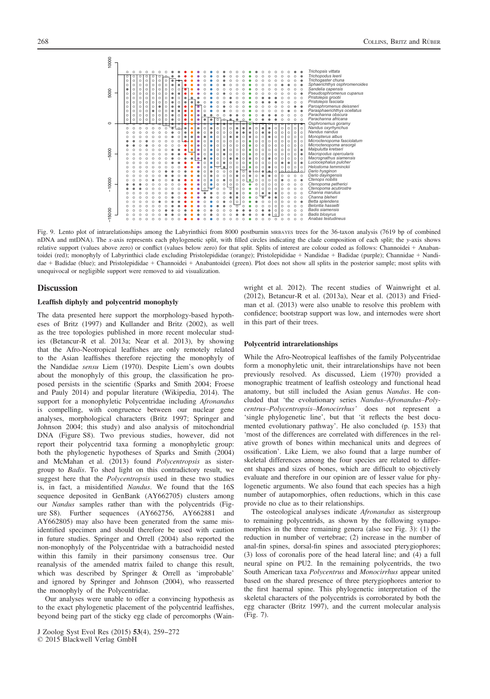

Fig. 9. Lento plot of intrarelationships among the Labyrinthici from 8000 postburnin MRBAYES trees for the 36-taxon analysis (7619 bp of combined nDNA and mtDNA). The x-axis represents each phylogenetic split, with filled circles indicating the clade composition of each split; the y-axis shows relative support (values above zero) or conflict (values below zero) for that split. Splits of interest are colour coded as follows: Channoidei + Anabantoidei (red); monophyly of Labyrinthici clade excluding Pristolepididae (orange); Pristolepididae + Nandidae + Badidae (purple); Channidae + Nandidae + Badidae (blue); and Pristolepididae + Channoidei + Anabantoidei (green). Plot does not show all splits in the posterior sample; most splits with unequivocal or negligible support were removed to aid visualization.

## **Discussion**

## Leaffish diphyly and polycentrid monophyly

The data presented here support the morphology-based hypotheses of Britz (1997) and Kullander and Britz (2002), as well as the tree topologies published in more recent molecular studies (Betancur-R et al. 2013a; Near et al. 2013), by showing that the Afro-Neotropical leaffishes are only remotely related to the Asian leaffishes therefore rejecting the monophyly of the Nandidae sensu Liem (1970). Despite Liem's own doubts about the monophyly of this group, the classification he proposed persists in the scientific (Sparks and Smith 2004; Froese and Pauly 2014) and popular literature (Wikipedia, 2014). The support for a monophyletic Polycentridae including Afronandus is compelling, with congruence between our nuclear gene analyses, morphological characters (Britz 1997; Springer and Johnson 2004; this study) and also analysis of mitochondrial DNA (Figure S8). Two previous studies, however, did not report their polycentrid taxa forming a monophyletic group: both the phylogenetic hypotheses of Sparks and Smith (2004) and McMahan et al. (2013) found Polycentropsis as sistergroup to Badis. To shed light on this contradictory result, we suggest here that the *Polycentropsis* used in these two studies is, in fact, a misidentified Nandus. We found that the 16S sequence deposited in GenBank [\(AY662705\)](http://www.ncbi.nlm.nih.gov/nuccore/AY662705) clusters among our Nandus samples rather than with the polycentrids (Figure S8). Further sequences ([AY662756,](http://www.ncbi.nlm.nih.gov/nuccore/AY662756) [AY662881](http://www.ncbi.nlm.nih.gov/nuccore/AY662881) and [AY662805](http://www.ncbi.nlm.nih.gov/nuccore/AY662805)) may also have been generated from the same misidentified specimen and should therefore be used with caution in future studies. Springer and Orrell (2004) also reported the non-monophyly of the Polycentridae with a batrachoidid nested within this family in their parsimony consensus tree. Our reanalysis of the amended matrix failed to change this result, which was described by Springer & Orrell as 'improbable' and ignored by Springer and Johnson (2004), who reasserted the monophyly of the Polycentridae.

Our analyses were unable to offer a convincing hypothesis as to the exact phylogenetic placement of the polycentrid leaffishes, beyond being part of the sticky egg clade of percomorphs (Wain-

J Zoolog Syst Evol Res (2015) 53(4), 259-272

© 2015 Blackwell Verlag GmbH

wright et al. 2012). The recent studies of Wainwright et al. (2012), Betancur-R et al. (2013a), Near et al. (2013) and Friedman et al. (2013) were also unable to resolve this problem with confidence; bootstrap support was low, and internodes were short in this part of their trees.

## Polycentrid intrarelationships

While the Afro-Neotropical leaffishes of the family Polycentridae form a monophyletic unit, their intrarelationships have not been previously resolved. As discussed, Liem (1970) provided a monographic treatment of leaffish osteology and functional head anatomy, but still included the Asian genus Nandus. He concluded that 'the evolutionary series Nandus–Afronandus–Polycentrus–Polycentropsis–Monocirrhus' does not represent a 'single phylogenetic line', but that 'it reflects the best documented evolutionary pathway'. He also concluded (p. 153) that 'most of the differences are correlated with differences in the relative growth of bones within mechanical units and degrees of ossification'. Like Liem, we also found that a large number of skeletal differences among the four species are related to different shapes and sizes of bones, which are difficult to objectively evaluate and therefore in our opinion are of lesser value for phylogenetic arguments. We also found that each species has a high number of autapomorphies, often reductions, which in this case provide no clue as to their relationships.

The osteological analyses indicate Afronandus as sistergroup to remaining polycentrids, as shown by the following synapomorphies in the three remaining genera (also see Fig. 3): (1) the reduction in number of vertebrae; (2) increase in the number of anal-fin spines, dorsal-fin spines and associated pterygiophores; (3) loss of coronalis pore of the head lateral line; and (4) a full neural spine on PU2. In the remaining polycentrids, the two South American taxa Polycentrus and Monocirrhus appear united based on the shared presence of three pterygiophores anterior to the first haemal spine. This phylogenetic interpretation of the skeletal characters of the polycentrids is corroborated by both the egg character (Britz 1997), and the current molecular analysis (Fig. 7).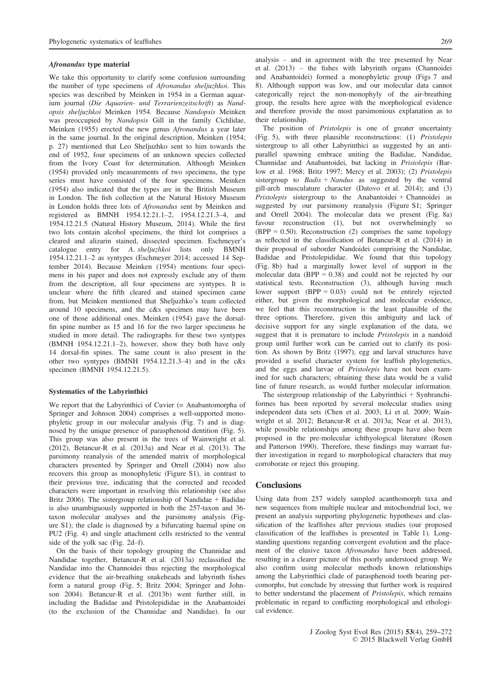#### Afronandus type material

We take this opportunity to clarify some confusion surrounding the number of type specimens of Afronandus sheljuzhkoi. This species was described by Meinken in 1954 in a German aquarium journal (Die Aquarien- und Terrarienzeitschrift) as Nandopsis sheljuzhkoi Meinken 1954. Because Nandopsis Meinken was preoccupied by Nandopsis Gill in the family Cichlidae, Meinken (1955) erected the new genus Afronandus a year later in the same journal. In the original description, Meinken (1954; p. 27) mentioned that Leo Sheljuzhko sent to him towards the end of 1952, four specimens of an unknown species collected from the Ivory Coast for determination. Although Meinken (1954) provided only measurements of two specimens, the type series must have consisted of the four specimens. Meinken (1954) also indicated that the types are in the British Museum in London. The fish collection at the Natural History Museum in London holds three lots of Afronandus sent by Meinken and registered as BMNH 1954.12.21.1–2, 1954.12.21.3–4, and 1954.12.21.5 (Natural History Museum, 2014). While the first two lots contain alcohol specimens, the third lot comprises a cleared and alizarin stained, dissected specimen. Eschmeyer's catalogue entry for A. sheljuzhkoi lists only BMNH 1954.12.21.1–2 as syntypes (Eschmeyer 2014; accessed 14 September 2014). Because Meinken (1954) mentions four specimens in his paper and does not expressly exclude any of them from the description, all four specimens are syntypes. It is unclear where the fifth cleared and stained specimen came from, but Meinken mentioned that Sheljuzhko's team collected around 10 specimens, and the c&s specimen may have been one of those additional ones. Meinken (1954) gave the dorsalfin spine number as 15 and 16 for the two larger specimens he studied in more detail. The radiographs for these two syntypes (BMNH 1954.12.21.1–2), however, show they both have only 14 dorsal-fin spines. The same count is also present in the other two syntypes (BMNH 1954.12.21.3–4) and in the c&s specimen (BMNH 1954.12.21.5).

#### Systematics of the Labyrinthici

We report that the Labyrinthici of Cuvier (= Anabantomorpha of Springer and Johnson 2004) comprises a well-supported monophyletic group in our molecular analysis (Fig. 7) and is diagnosed by the unique presence of parasphenoid dentition (Fig. 5). This group was also present in the trees of Wainwright et al. (2012), Betancur-R et al. (2013a) and Near et al. (2013). The parsimony reanalysis of the amended matrix of morphological characters presented by Springer and Orrell (2004) now also recovers this group as monophyletic (Figure S1), in contrast to their previous tree, indicating that the corrected and recoded characters were important in resolving this relationship (see also Britz 2006). The sistergroup relationship of Nandidae + Badidae is also unambiguously supported in both the 257-taxon and 36 taxon molecular analyses and the parsimony analysis (Figure S1); the clade is diagnosed by a bifurcating haemal spine on PU2 (Fig. 4) and single attachment cells restricted to the ventral side of the yolk sac (Fig. 2d–f).

On the basis of their topology grouping the Channidae and Nandidae together, Betancur-R et al. (2013a) reclassified the Nandidae into the Channoidei thus rejecting the morphological evidence that the air-breathing snakeheads and labyrinth fishes form a natural group (Fig. 5; Britz 2004; Springer and Johnson 2004). Betancur-R et al. (2013b) went further still, in including the Badidae and Pristolepididae in the Anabantoidei (to the exclusion of the Channidae and Nandidae). In our analysis – and in agreement with the tree presented by Near et al. (2013) – the fishes with labyrinth organs (Channoidei and Anabantoidei) formed a monophyletic group (Figs 7 and 8). Although support was low, and our molecular data cannot categorically reject the non-monophyly of the air-breathing group, the results here agree with the morphological evidence and therefore provide the most parsimonious explanation as to their relationship.

The position of *Pristolepis* is one of greater uncertainty (Fig. 5), with three plausible reconstructions: (1) Pristolepis sistergroup to all other Labyrinthici as suggested by an antiparallel spawning embrace uniting the Badidae, Nandidae, Channidae and Anabantoidei, but lacking in Pristolepis (Barlow et al. 1968; Britz 1997; Mercy et al. 2003); (2) Pristolepis sistergroup to  $Badis + Nandus$  as suggested by the ventral gill-arch musculature character (Datovo et al. 2014); and (3) Pristolepis sistergroup to the Anabantoidei + Channoidei as suggested by our parsimony reanalysis (Figure S1; Springer and Orrell 2004). The molecular data we present (Fig. 8a) favour reconstruction (1), but not overwhelmingly so  $(BPP = 0.50)$ . Reconstruction (2) comprises the same topology as reflected in the classification of Betancur-R et al. (2014) in their proposal of suborder Nandoidei comprising the Nandidae, Badidae and Pristolepididae. We found that this topology (Fig. 8b) had a marginally lower level of support in the molecular data  $(BPP = 0.38)$  and could not be rejected by our statistical tests. Reconstruction (3), although having much lower support  $(BPP = 0.03)$  could not be entirely rejected either, but given the morphological and molecular evidence, we feel that this reconstruction is the least plausible of the three options. Therefore, given this ambiguity and lack of decisive support for any single explanation of the data, we suggest that it is premature to include Pristolepis in a nandoid group until further work can be carried out to clarify its position. As shown by Britz (1997), egg and larval structures have provided a useful character system for leaffish phylogenetics, and the eggs and larvae of Pristolepis have not been examined for such characters; obtaining these data would be a valid line of future research, as would further molecular information.

The sistergroup relationship of the Labyrinthici + Synbranchiformes has been reported by several molecular studies using independent data sets (Chen et al. 2003; Li et al. 2009; Wainwright et al. 2012; Betancur-R et al. 2013a; Near et al. 2013), while possible relationships among these groups have also been proposed in the pre-molecular ichthyological literature (Rosen and Patterson 1990). Therefore, these findings may warrant further investigation in regard to morphological characters that may corroborate or reject this grouping.

## **Conclusions**

Using data from 257 widely sampled acanthomorph taxa and new sequences from multiple nuclear and mitochondrial loci, we present an analysis supporting phylogenetic hypotheses and classification of the leaffishes after previous studies (our proposed classification of the leaffishes is presented in Table 1). Longstanding questions regarding convergent evolution and the placement of the elusive taxon Afronandus have been addressed, resulting in a clearer picture of this poorly understood group. We also confirm using molecular methods known relationships among the Labyrinthici clade of parasphenoid tooth bearing percomorphs, but conclude by stressing that further work is required to better understand the placement of Pristolepis, which remains problematic in regard to conflicting morphological and ethological evidence.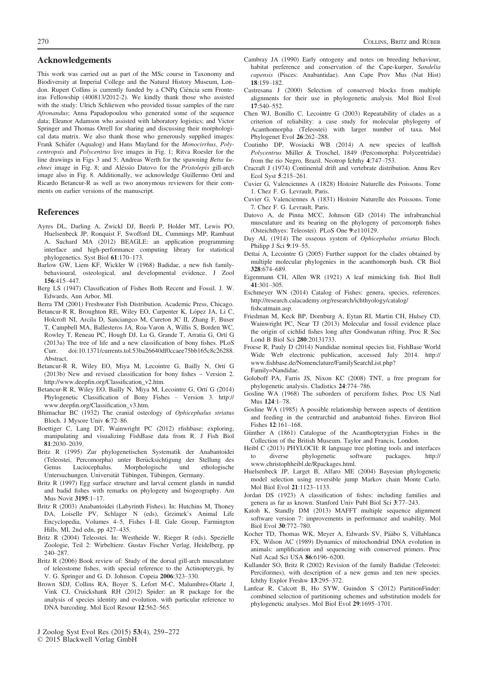## Acknowledgements

This work was carried out as part of the MSc course in Taxonomy and Biodiversity at Imperial College and the Natural History Museum, London. Rupert Collins is currently funded by a CNPq Ciência sem Fronteiras Fellowship (400813/2012-2). We kindly thank those who assisted with the study: Ulrich Schliewen who provided tissue samples of the rare Afronandus; Anna Papadopoulou who generated some of the sequence data; Eleanor Adamson who assisted with laboratory logistics; and Victor Springer and Thomas Orrell for sharing and discussing their morphological data matrix. We also thank those who generously supplied images: Frank Schäfer (Aqualog) and Hans Mayland for the Monocirrhus, Polycentropsis and Polycentrus live images in Fig. 1; Ritva Roesler for the line drawings in Figs 3 and 5; Andreas Werth for the spawning Betta kuehnei image in Fig. 8; and Aléssio Datovo for the Pristolepis gill-arch image also in Fig. 8. Additionally, we acknowledge Guillermo Ortí and Ricardo Betancur-R as well as two anonymous reviewers for their comments on earlier versions of the manuscript.

## References

- Ayres DL, Darling A, Zwickl DJ, Beerli P, Holder MT, Lewis PO, Huelsenbeck JP, Ronquist F, Swofford DL, Cummings MP, Rambaut A, Suchard MA (2012) BEAGLE: an application programming interface and high-performance computing library for statistical phylogenetics. Syst Biol 61:170–173.
- Barlow GW, Liem KF, Wickler W (1968) Badidae, a new fish familybehavioural, osteological, and developmental evidence. J Zool 156:415–447.
- Berg LS (1947) Classification of Fishes Both Recent and Fossil. J. W. Edwards, Ann Arbor, MI.
- Berra TM (2001) Freshwater Fish Distribution. Academic Press, Chicago.
- Betancur-R R, Broughton RE, Wiley EO, Carpenter K, López JA, Li C, Holcroft NI, Arcila D, Sanciangco M, Cureton JC II, Zhang F, Buser T, Campbell MA, Ballesteros JA, Roa-Varon A, Willis S, Borden WC, Rowley T, Reneau PC, Hough DJ, Lu G, Grande T, Arratia G, Ortí G (2013a) The tree of life and a new classification of bony fishes. PLoS Curr. doi[:10.1371/currents.tol.53ba26640df0ccaee75bb165c8c26288.](http://dx.doi.org/10.1371/currents.tol.53ba26640df0ccaee75bb165c8c26288.Abstract) [Abstract](http://dx.doi.org/10.1371/currents.tol.53ba26640df0ccaee75bb165c8c26288.Abstract).
- Betancur-R R, Wiley EO, Miya M, Lecointre G, Bailly N, Ortí G (2013b) New and revised classification for bony fishes – Version 2. [http://www.deep](http://www.deepfin.org/Classification_v2.htm)fin.org/Classification\_v2.htm.
- Betancur-R R, Wiley EO, Bailly N, Miya M, Lecointre G, Ortí G (2014) Phylogenetic Classification of Bony Fishes – Version 3. [http://](http://www.deepfin.org/Classification_v3.htm) www.deepfin.org/Classifi[cation\\_v3.htm.](http://www.deepfin.org/Classification_v3.htm)
- Bhimachar BC (1932) The cranial osteology of Ophicephalus striatus Bloch. J Mysore Univ 6:72–86.
- Boettiger C, Lang DT, Wainwright PC (2012) rfishbase: exploring, manipulating and visualizing FishBase data from R. J Fish Biol 81:2030–2039.
- Britz R (1995) Zur phylogenetischen Systematik der Anabantoidei (Teleostei, Percomorpha) unter Berücksichtigung der Stellung des<br>Genus Luciocephalus. Morphologische und ethologische Genus Luciocephalus. Morphologische und ethologische Untersuchungen. Universität Tübingen, Tübingen, Germany.
- Britz R (1997) Egg surface structure and larval cement glands in nandid and badid fishes with remarks on phylogeny and biogeography. Am Mus Novit 3195:1–17.
- Britz R (2003) Anabantoidei (Labyrinth Fishes). In: Hutchins M, Thoney DA, Loiselle PV, Schlager N (eds), Grzimek's Animal Life Encyclopedia, Volumes 4–5, Fishes I–II. Gale Group, Farmington Hills, MI, 2nd edn, pp 427–435.
- Britz R (2004) Teleostei. In: Westheide W, Rieger R (eds), Spezielle Zoologie, Teil 2: Wirbeltiere. Gustav Fischer Verlag, Heidelberg, pp 240–287.
- Britz R (2006) Book review of: Study of the dorsal gill-arch musculature of teleostome fishes, with special reference to the Actinopterygii, by V. G. Springer and G. D. Johnson. Copeia 2006:323–330.
- Brown SDJ, Collins RA, Boyer S, Lefort M-C, Malumbres-Olarte J, Vink CJ, Cruickshank RH (2012) Spider: an R package for the analysis of species identity and evolution, with particular reference to DNA barcoding. Mol Ecol Resour 12:562–565.
- J Zoolog Syst Evol Res (2015) 53(4), 259--272

© 2015 Blackwell Verlag GmbH

- Cambray JA (1990) Early ontogeny and notes on breeding behaviour, habitat preference and conservation of the Cape-kurper, Sandelia capensis (Pisces: Anabantidae). Ann Cape Prov Mus (Nat Hist) 18:159–182.
- Castresana J (2000) Selection of conserved blocks from multiple alignments for their use in phylogenetic analysis. Mol Biol Evol 17:540–552.
- Chen WJ, Bonillo C, Lecointre G (2003) Repeatability of clades as a criterion of reliability: a case study for molecular phylogeny of Acanthomorpha (Teleostei) with larger number of taxa. Mol Phylogenet Evol 26:262–288.
- Coutinho DP, Wosiacki WB (2014) A new species of leaffish Polycentrus Müller & Troschel, 1849 (Percomorpha: Polycentridae) from the rio Negro, Brazil. Neotrop Ichthy 4:747–753.
- Cracraft J (1974) Continental drift and vertebrate distribution. Annu Rev Ecol Syst 5:215–261.
- Cuvier G, Valenciennes A (1828) Histoire Naturelle des Poissons. Tome 1. Chez F. G. Levrault, Paris.
- Cuvier G, Valenciennes A (1831) Histoire Naturelle des Poissons. Tome 7. Chez F. G. Levrault, Paris.
- Datovo A, de Pinna MCC, Johnson GD (2014) The infrabranchial musculature and its bearing on the phylogeny of percomorph fishes (Osteichthyes: Teleostei). PLoS One 9:e110129.
- Day AL (1914) The osseous system of Ophicephalus striatus Bloch. Philipp J Sci 9:19–55.
- Dettai A, Lecointre G (2005) Further support for the clades obtained by multiple molecular phylogenies in the acanthomorph bush. CR Biol 328:674–689.
- Eigenmann CH, Allen WR (1921) A leaf mimicking fish. Biol Bull 41:301–305.
- Eschmeyer WN (2014) Catalog of Fishes: genera, species, references. [http://research.calacademy.org/research/ichthyology/catalog/](http://research.calacademy.org/research/ichthyology/catalog/fishcatmain.asp) fi[shcatmain.asp.](http://research.calacademy.org/research/ichthyology/catalog/fishcatmain.asp)
- Friedman M, Keck BP, Dornburg A, Eytan RI, Martin CH, Hulsey CD, Wainwright PC, Near TJ (2013) Molecular and fossil evidence place the origin of cichlid fishes long after Gondwanan rifting. Proc R Soc Lond B Biol Sci 280:20131733.
- Froese R, Pauly D (2014) Nandidae nominal species list, FishBase World Wide Web electronic publication, accessed July 2014. [http://](http://www.fishbase.de/Nomenclature/FamilySearchList.php?Family=Nandidae) www.fi[shbase.de/Nomenclature/FamilySearchList.php?](http://www.fishbase.de/Nomenclature/FamilySearchList.php?Family=Nandidae) [Family=Nandidae.](http://www.fishbase.de/Nomenclature/FamilySearchList.php?Family=Nandidae)
- Goloboff PA, Farris JS, Nixon KC (2008) TNT, a free program for phylogenetic analysis. Cladistics 24:774–786.
- Gosline WA (1968) The suborders of perciform fishes. Proc US Natl Mus 124:1–78.
- Gosline WA (1985) A possible relationship between aspects of dentition and feeding in the centrarchid and anabantoid fishes. Environ Biol Fishes 12:161–168.
- Günther A (1861) Catalogue of the Acanthopterygian Fishes in the Collection of the British Museum. Taylor and Francis, London.
- Heibl C (2013) PHYLOCH: R language tree plotting tools and interfaces to diverse phylogenetic software packages. [http://](http://www.christophheibl.de/Rpackages.html) [www.christophheibl.de/Rpackages.html](http://www.christophheibl.de/Rpackages.html).
- Huelsenbeck JP, Larget B, Alfaro ME (2004) Bayesian phylogenetic model selection using reversible jump Markov chain Monte Carlo. Mol Biol Evol 21:1123–1133.
- Jordan DS (1923) A classification of fishes: including families and genera as far as known. Stanford Univ Publ Biol Sci 3:77–243.
- Katoh K, Standly DM (2013) MAFFT multiple sequence alignment software version 7: improvements in performance and usability. Mol Biol Evol 30:772–780.
- Kocher TD, Thomas WK, Meyer A, Edwards SV, Pääbo S, Villablanca FX, Wilson AC (1989) Dynamics of mitochondrial DNA evolution in animals: amplification and sequencing with conserved primers. Proc Natl Acad Sci USA 86:6196–6200.
- Kullander SO, Britz R (2002) Revision of the family Badidae (Teleostei: Perciformes), with description of a new genus and ten new species. Ichthy Explor Freshw 13:295–372.
- Lanfear R, Calcott B, Ho SYW, Guindon S (2012) PartitionFinder: combined selection of partitioning schemes and substitution models for phylogenetic analyses. Mol Biol Evol 29:1695–1701.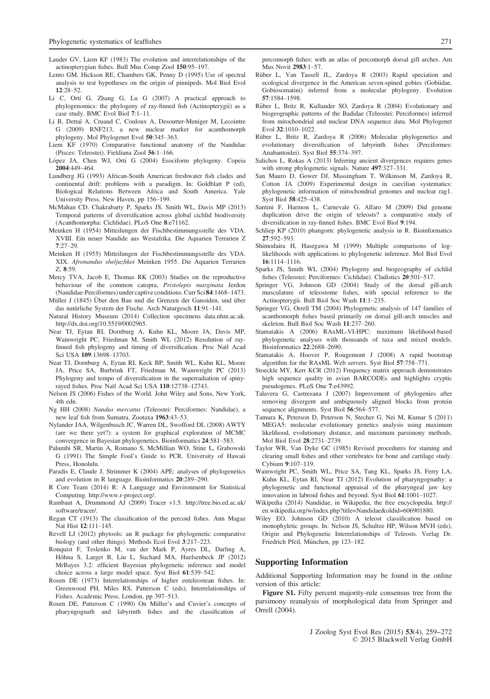- Lauder GV, Liem KF (1983) The evolution and interrelationships of the actinopterygian fishes. Bull Mus Comp Zool 150:95–197.
- Lento GM, Hickson RE, Chambers GK, Penny D (1995) Use of spectral analysis to test hypotheses on the origin of pinnipeds. Mol Biol Evol 12:28–52.
- Li C, Ortí G, Zhang G, Lu G (2007) A practical approach to phylogenomics: the phylogeny of ray-finned fish (Actinopterygii) as a case study. BMC Evol Biol 7:1–11.
- Li B, Dettaï A, Cruaud C, Couloux A, Desoutter-Meniger M, Lecointre G (2009) RNF213, a new nuclear marker for acanthomorph phylogeny. Mol Phylogenet Evol 50:345–363.
- Liem KF (1970) Comparative functional anatomy of the Nandidae (Pisces: Teleostei). Fieldiana Zool 56:1–166.
- López JA, Chen WJ, Ortí G (2004) Esociform phylogeny. Copeia 2004:449–464.
- Lundberg JG (1993) African-South American freshwater fish clades and continental drift: problems with a paradigm. In: Goldblatt P (ed), Biological Relations Between Africa and South America. Yale University Press, New Haven, pp 156–199.
- McMahan CD, Chakrabarty P, Sparks JS, Smith WL, Davis MP (2013) Temporal patterns of diversification across global cichlid biodiversity (Acanthomorpha: Cichlidae). PLoS One 8:e71162.
- Meinken H (1954) Mitteilungen der Fischbestimmungsstelle des VDA. XVIII. Ein neuer Nandide aus Westafrika. Die Aquarien Terrarien Z 7:27–29.
- Meinken H (1955) Mitteilungen der Fischbestimmungsstelle des VDA. XIX. Afronandus sheljuzhkoi Meinken 1955. Die Aquarien Terrarien Z, 8:59.
- Mercy TVA, Jacob E, Thomas RK (2003) Studies on the reproductive behaviour of the common catopra, Pristolepis marginata Jerdon (Nandidae-Perciformes) under captive conditions. Curr Sci 84:1468–1473.
- Müller J (1845) Über den Bau und die Grenzen der Ganoiden, und über das natürliche System der Fische. Arch Naturgesch 11:91-141.
- Natural History Museum (2014) Collection specimens data.nhm.ac.uk. [http://dx.doi.org/10.5519/0002965.](http://dx.doi.org/10.5519/0002965)
- Near TJ, Eytan RI, Dornburg A, Kuhn KL, Moore JA, Davis MP, Wainwright PC, Friedman M, Smith WL (2012) Resolution of rayfinned fish phylogeny and timing of diversification. Proc Natl Acad Sci USA 109:13698–13703.
- Near TJ, Dornburg A, Eytan RI, Keck BP, Smith WL, Kuhn KL, Moore JA, Price SA, Burbrink FT, Friedman M, Wainwright PC (2013) Phylogeny and tempo of diversification in the superradiation of spinyrayed fishes. Proc Natl Acad Sci USA 110:12738–12743.
- Nelson JS (2006) Fishes of the World. John Wiley and Sons, New York, 4th edn.
- Ng HH (2008) Nandus mercatus (Teleostei: Perciformes: Nandidae), a new leaf fish from Sumatra. Zootaxa 1963:43–53.
- Nylander JAA, Wilgenbusch JC, Warren DL, Swofford DL (2008) AWTY (are we there yet?): a system for graphical exploration of MCMC convergence in Bayesian phylogenetics. Bioinformatics 24:581–583.
- Palumbi SR, Martin A, Romano S, McMillian WO, Stine L, Grabowski G (1991) The Simple Fool's Guide to PCR. University of Hawaii Press, Honolulu.
- Paradis E, Claude J, Strimmer K (2004) APE: analyses of phylogenetics and evolution in R language. Bioinformatics 20:289–290.
- R Core Team (2014) R: A Language and Environment for Statistical Computing.<http://www.r-project.org/>.
- Rambaut A, Drummond AJ (2009) Tracer v1.5. [http://tree.bio.ed.ac.uk/](http://tree.bio.ed.ac.uk/software/tracer/) [software/tracer/.](http://tree.bio.ed.ac.uk/software/tracer/)
- Regan CT (1913) The classification of the percoid fishes. Ann Magaz Nat Hist 12:111–145.
- Revell LJ (2012) phytools: an R package for phylogenetic comparative biology (and other things). Methods Ecol Evol 3:217–223.
- Ronquist F, Teslenko M, van der Mark P, Ayres DL, Darling A, Höhna S, Larget B, Liu L, Suchard MA, Huelsenbeck JP (2012) MrBayes 3.2: efficient Bayesian phylogenetic inference and model choice across a large model space. Syst Biol 61:539–542.
- Rosen DE (1973) Interrelationships of higher euteleostean fishes. In: Greenwood PH, Miles RS, Patterson C (eds), Interrelationships of Fishes. Academic Press, London, pp 397–513.
- Rosen DE, Patterson C (1990) On Müller's and Cuvier's concepts of pharyngognath and labyrinth fishes and the classification of

percomorph fishes: with an atlas of percomorph dorsal gill arches. Am Mus Novit 2983:1–57.

- Rüber L, Van Tassell JL, Zardoya R (2003) Rapid speciation and ecological divergence in the American seven-spined gobies (Gobiidae, Gobiosomatini) inferred from a molecular phylogeny. Evolution 57:1584–1598.
- Rüber L, Britz R, Kullander SO, Zardoya R (2004) Evolutionary and biogeographic patterns of the Badidae (Teleostei: Perciformes) inferred from mitochondrial and nuclear DNA sequence data. Mol Phylogenet Evol  $32:1010-1022$
- Rüber L, Britz R, Zardoya R (2006) Molecular phylogenetics and evolutionary diversification of labyrinth fishes (Perciformes: Anabantoidei). Syst Biol 55:374–397.
- Salichos L, Rokas A (2013) Inferring ancient divergences requires genes with strong phylogenetic signals. Nature 497:327–331.
- San Mauro D, Gower DJ, Massingham T, Wilkinson M, Zardoya R, Cotton JA (2009) Experimental design in caecilian systematics: phylogenetic information of mitochondrial genomes and nuclear rag1. Syst Biol 58:425–438.
- Santini F, Harmon L, Carnevale G, Alfaro M (2009) Did genome duplication drive the origin of teleosts? a comparative study of diversification in ray-finned fishes. BMC Evol Biol 9:194.
- Schliep KP (2010) phangorn: phylogenetic analysis in R. Bioinformatics 27:592–593.
- Shimodaira H, Hasegawa M (1999) Multiple comparisons of loglikelihoods with applications to phylogenetic inference. Mol Biol Evol 16:1114–1116.
- Sparks JS, Smith WL (2004) Phylogeny and biogeography of cichlid fishes (Teleostei: Perciformes: Cichlidae). Cladistics 20:501–517.
- Springer VG, Johnson GD (2004) Study of the dorsal gill-arch musculature of teleostome fishes, with special reference to the Actinopterygii. Bull Biol Soc Wash 11:1–235.
- Springer VG, Orrell TM (2004) Phylogenetic analysis of 147 families of acanthomorph fishes based primarily on dorsal gill-arch muscles and skeleton. Bull Biol Soc Wash 11:237–260.
- Stamatakis A (2006) RAxML-VI-HPC: maximum likelihood-based phylogenetic analyses with thousands of taxa and mixed models. Bioinformatics 22:2688–2690.
- Stamatakis A, Hoover P, Rougemont J (2008) A rapid bootstrap algorithm for the RAxML Web servers. Syst Biol 57:758–771.
- Stoeckle MY, Kerr KCR (2012) Frequency matrix approach demonstrates high sequence quality in avian BARCODEs and highlights cryptic pseudogenes. PLoS One 7:e43992.
- Talavera G, Castresana J (2007) Improvement of phylogenies after removing divergent and ambiguously aligned blocks from protein sequence alignments. Syst Biol 56:564–577.
- Tamura K, Peterson D, Peterson N, Stecher G, Nei M, Kumar S (2011) MEGA5: molecular evolutionary genetics analysis using maximum likelihood, evolutionary distance, and maximum parsimony methods. Mol Biol Evol 28:2731–2739.
- Taylor WR, Van Dyke GC (1985) Revised procedures for staining and clearing small fishes and other vertebrates for bone and cartilage study. Cybium 9:107–119.
- Wainwright PC, Smith WL, Price SA, Tang KL, Sparks JS, Ferry LA, Kuhn KL, Eytan RI, Near TJ (2012) Evolution of pharyngognathy: a phylogenetic and functional appraisal of the pharyngeal jaw key innovation in labroid fishes and beyond. Syst Biol 61:1001–1027.
- Wikipedia (2014) Nandidae, in Wikipedia, the free encyclopedia. [http://](http://en.wikipedia.org/w/index.php?title=Nandidae%26oldid=606901880) [en.wikipedia.org/w/index.php?title=Nandidae&oldid=606901880](http://en.wikipedia.org/w/index.php?title=Nandidae%26oldid=606901880).
- Wiley EO, Johnson GD (2010) A teleost classification based on monophyletic groups. In: Nelson JS, Schultze HP, Wilson MVH (eds), Origin and Phylogenetic Interrelationships of Teleosts. Verlag Dr. Friedrich Pfeil, München, pp 123-182.

## Supporting Information

Additional Supporting Information may be found in the online version of this article:

Figure S1. Fifty percent majority-rule consensus tree from the parsimony reanalysis of morphological data from Springer and Orrell (2004).